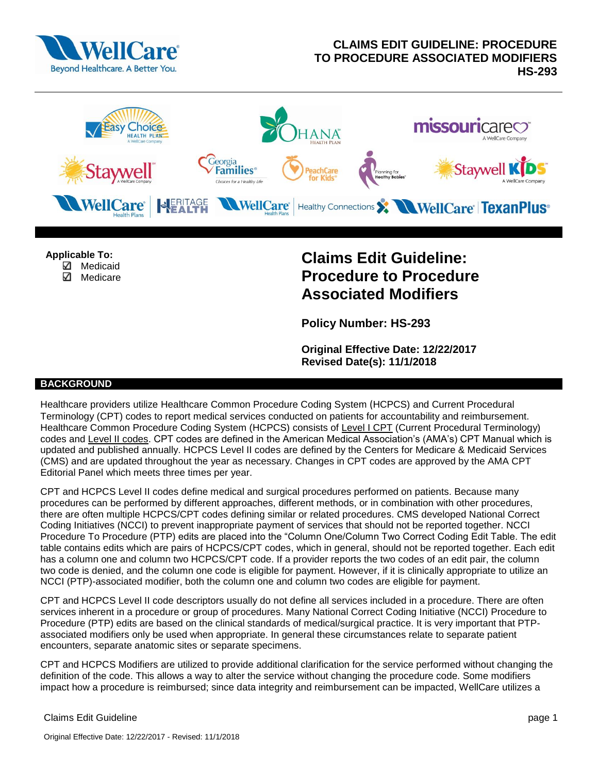



**Applicable To:** 

- $\Box$  Medicaid
- ✓ Medicare

# **Claims Edit Guideline: Procedure to Procedure Associated Modifiers**

**Policy Number: HS-293**

**Original Effective Date: 12/22/2017 Revised Date(s): 11/1/2018**

## **BACKGROUND**

Healthcare providers utilize Healthcare Common Procedure Coding System (HCPCS) and Current Procedural Terminology (CPT) codes to report medical services conducted on patients for accountability and reimbursement. Healthcare Common Procedure Coding System (HCPCS) consists of Level I CPT (Current Procedural Terminology) codes and Level II codes. CPT codes are defined in the American Medical Association's (AMA's) CPT Manual which is updated and published annually. HCPCS Level II codes are defined by the Centers for Medicare & Medicaid Services (CMS) and are updated throughout the year as necessary. Changes in CPT codes are approved by the AMA CPT Editorial Panel which meets three times per year.

CPT and HCPCS Level II codes define medical and surgical procedures performed on patients. Because many procedures can be performed by different approaches, different methods, or in combination with other procedures, there are often multiple HCPCS/CPT codes defining similar or related procedures. CMS developed National Correct Coding Initiatives (NCCI) to prevent inappropriate payment of services that should not be reported together. NCCI Procedure To Procedure (PTP) edits are placed into the "Column One/Column Two Correct Coding Edit Table. The edit table contains edits which are pairs of HCPCS/CPT codes, which in general, should not be reported together. Each edit has a column one and column two HCPCS/CPT code. If a provider reports the two codes of an edit pair, the column two code is denied, and the column one code is eligible for payment. However, if it is clinically appropriate to utilize an NCCI (PTP)-associated modifier, both the column one and column two codes are eligible for payment.

CPT and HCPCS Level II code descriptors usually do not define all services included in a procedure. There are often services inherent in a procedure or group of procedures. Many National Correct Coding Initiative (NCCI) Procedure to Procedure (PTP) edits are based on the clinical standards of medical/surgical practice. It is very important that PTPassociated modifiers only be used when appropriate. In general these circumstances relate to separate patient encounters, separate anatomic sites or separate specimens.

CPT and HCPCS Modifiers are utilized to provide additional clarification for the service performed without changing the definition of the code. This allows a way to alter the service without changing the procedure code. Some modifiers impact how a procedure is reimbursed; since data integrity and reimbursement can be impacted, WellCare utilizes a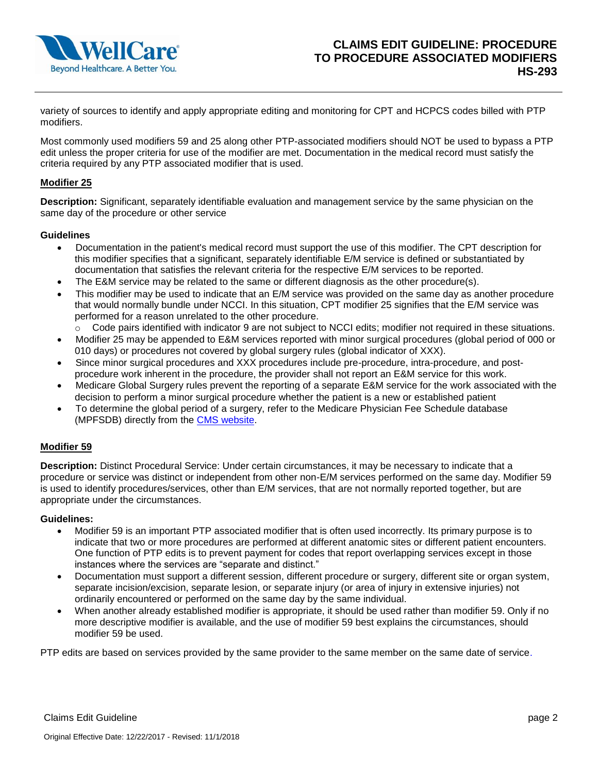

variety of sources to identify and apply appropriate editing and monitoring for CPT and HCPCS codes billed with PTP modifiers.

Most commonly used modifiers 59 and 25 along other PTP-associated modifiers should NOT be used to bypass a PTP edit unless the proper criteria for use of the modifier are met. Documentation in the medical record must satisfy the criteria required by any PTP associated modifier that is used.

## **Modifier 25**

**Description:** Significant, separately identifiable evaluation and management service by the same physician on the same day of the procedure or other service

#### **Guidelines**

- Documentation in the patient's medical record must support the use of this modifier. The CPT description for this modifier specifies that a significant, separately identifiable E/M service is defined or substantiated by documentation that satisfies the relevant criteria for the respective E/M services to be reported.
- The E&M service may be related to the same or different diagnosis as the other procedure(s).
- This modifier may be used to indicate that an E/M service was provided on the same day as another procedure that would normally bundle under NCCI. In this situation, CPT modifier 25 signifies that the E/M service was performed for a reason unrelated to the other procedure.
	- o Code pairs identified with indicator 9 are not subject to NCCI edits; modifier not required in these situations.
- Modifier 25 may be appended to E&M services reported with minor surgical procedures (global period of 000 or 010 days) or procedures not covered by global surgery rules (global indicator of XXX).
- Since minor surgical procedures and XXX procedures include pre-procedure, intra-procedure, and postprocedure work inherent in the procedure, the provider shall not report an E&M service for this work.
- Medicare Global Surgery rules prevent the reporting of a separate E&M service for the work associated with the decision to perform a minor surgical procedure whether the patient is a new or established patient
- To determine the global period of a surgery, refer to the Medicare Physician Fee Schedule database (MPFSDB) directly from the [CMS website.](http://www.cms.gov/apps/physician-fee-schedule/overview.aspx)

#### **Modifier 59**

**Description:** Distinct Procedural Service: Under certain circumstances, it may be necessary to indicate that a procedure or service was distinct or independent from other non-E/M services performed on the same day. Modifier 59 is used to identify procedures/services, other than E/M services, that are not normally reported together, but are appropriate under the circumstances.

#### **Guidelines:**

- Modifier 59 is an important PTP associated modifier that is often used incorrectly. Its primary purpose is to indicate that two or more procedures are performed at different anatomic sites or different patient encounters. One function of PTP edits is to prevent payment for codes that report overlapping services except in those instances where the services are "separate and distinct."
- Documentation must support a different session, different procedure or surgery, different site or organ system, separate incision/excision, separate lesion, or separate injury (or area of injury in extensive injuries) not ordinarily encountered or performed on the same day by the same individual.
- When another already established modifier is appropriate, it should be used rather than modifier 59. Only if no more descriptive modifier is available, and the use of modifier 59 best explains the circumstances, should modifier 59 be used.

PTP edits are based on services provided by the same provider to the same member on the same date of service.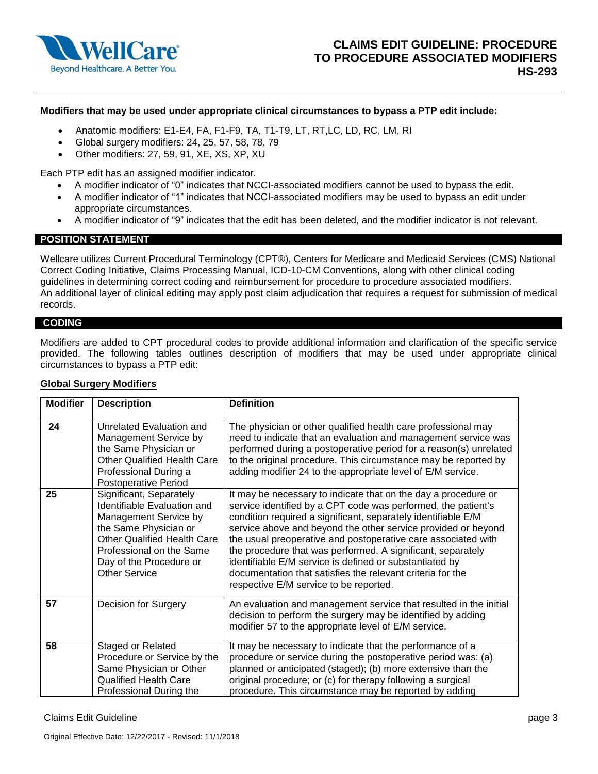

#### **Modifiers that may be used under appropriate clinical circumstances to bypass a PTP edit include:**

- Anatomic modifiers: E1-E4, FA, F1-F9, TA, T1-T9, LT, RT, LC, LD, RC, LM, RI
- Global surgery modifiers: 24, 25, 57, 58, 78, 79
- Other modifiers: 27, 59, 91, XE, XS, XP, XU

Each PTP edit has an assigned modifier indicator.

- A modifier indicator of "0" indicates that NCCI-associated modifiers cannot be used to bypass the edit.
- A modifier indicator of "1" indicates that NCCI-associated modifiers may be used to bypass an edit under appropriate circumstances.
- A modifier indicator of "9" indicates that the edit has been deleted, and the modifier indicator is not relevant.

## **POSITION STATEMENT**

Wellcare utilizes Current Procedural Terminology (CPT®), Centers for Medicare and Medicaid Services (CMS) National Correct Coding Initiative, Claims Processing Manual, ICD-10-CM Conventions, along with other clinical coding guidelines in determining correct coding and reimbursement for procedure to procedure associated modifiers. An additional layer of clinical editing may apply post claim adjudication that requires a request for submission of medical records.

#### **CODING**

Modifiers are added to CPT procedural codes to provide additional information and clarification of the specific service provided. The following tables outlines description of modifiers that may be used under appropriate clinical circumstances to bypass a PTP edit:

#### **Global Surgery Modifiers**

| <b>Modifier</b> | <b>Description</b>                                                                                                                                                                                                            | <b>Definition</b>                                                                                                                                                                                                                                                                                                                                                                                                                                                                                                                                                    |
|-----------------|-------------------------------------------------------------------------------------------------------------------------------------------------------------------------------------------------------------------------------|----------------------------------------------------------------------------------------------------------------------------------------------------------------------------------------------------------------------------------------------------------------------------------------------------------------------------------------------------------------------------------------------------------------------------------------------------------------------------------------------------------------------------------------------------------------------|
| 24              | Unrelated Evaluation and<br>Management Service by<br>the Same Physician or<br><b>Other Qualified Health Care</b><br>Professional During a<br>Postoperative Period                                                             | The physician or other qualified health care professional may<br>need to indicate that an evaluation and management service was<br>performed during a postoperative period for a reason(s) unrelated<br>to the original procedure. This circumstance may be reported by<br>adding modifier 24 to the appropriate level of E/M service.                                                                                                                                                                                                                               |
| 25              | Significant, Separately<br>Identifiable Evaluation and<br>Management Service by<br>the Same Physician or<br><b>Other Qualified Health Care</b><br>Professional on the Same<br>Day of the Procedure or<br><b>Other Service</b> | It may be necessary to indicate that on the day a procedure or<br>service identified by a CPT code was performed, the patient's<br>condition required a significant, separately identifiable E/M<br>service above and beyond the other service provided or beyond<br>the usual preoperative and postoperative care associated with<br>the procedure that was performed. A significant, separately<br>identifiable E/M service is defined or substantiated by<br>documentation that satisfies the relevant criteria for the<br>respective E/M service to be reported. |
| 57              | Decision for Surgery                                                                                                                                                                                                          | An evaluation and management service that resulted in the initial<br>decision to perform the surgery may be identified by adding<br>modifier 57 to the appropriate level of E/M service.                                                                                                                                                                                                                                                                                                                                                                             |
| 58              | Staged or Related<br>Procedure or Service by the<br>Same Physician or Other<br><b>Qualified Health Care</b><br>Professional During the                                                                                        | It may be necessary to indicate that the performance of a<br>procedure or service during the postoperative period was: (a)<br>planned or anticipated (staged); (b) more extensive than the<br>original procedure; or (c) for therapy following a surgical<br>procedure. This circumstance may be reported by adding                                                                                                                                                                                                                                                  |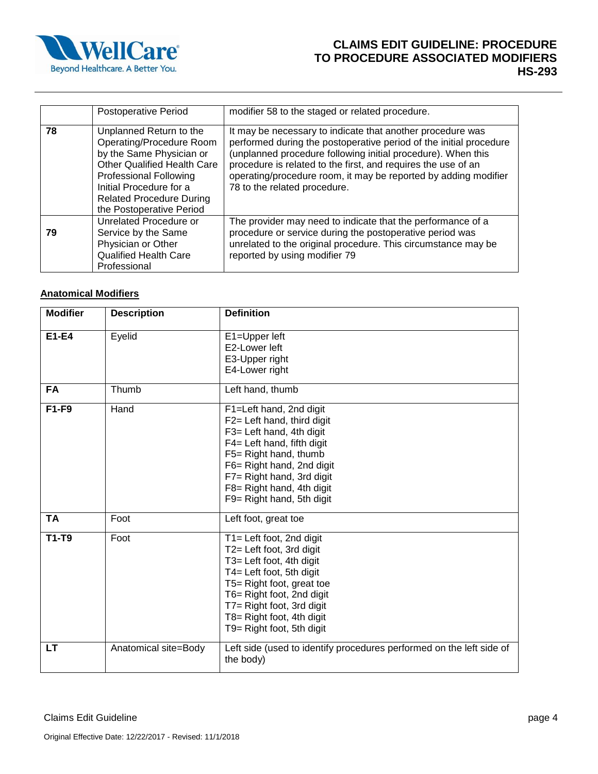

# **CLAIMS EDIT GUIDELINE: PROCEDURE TO PROCEDURE ASSOCIATED MODIFIERS HS-293**

|    | <b>Postoperative Period</b>                                                                                                                                                                                                                      | modifier 58 to the staged or related procedure.                                                                                                                                                                                                                                                                                                                      |
|----|--------------------------------------------------------------------------------------------------------------------------------------------------------------------------------------------------------------------------------------------------|----------------------------------------------------------------------------------------------------------------------------------------------------------------------------------------------------------------------------------------------------------------------------------------------------------------------------------------------------------------------|
| 78 | Unplanned Return to the<br>Operating/Procedure Room<br>by the Same Physician or<br><b>Other Qualified Health Care</b><br><b>Professional Following</b><br>Initial Procedure for a<br><b>Related Procedure During</b><br>the Postoperative Period | It may be necessary to indicate that another procedure was<br>performed during the postoperative period of the initial procedure<br>(unplanned procedure following initial procedure). When this<br>procedure is related to the first, and requires the use of an<br>operating/procedure room, it may be reported by adding modifier<br>78 to the related procedure. |
| 79 | Unrelated Procedure or<br>Service by the Same<br>Physician or Other<br><b>Qualified Health Care</b><br>Professional                                                                                                                              | The provider may need to indicate that the performance of a<br>procedure or service during the postoperative period was<br>unrelated to the original procedure. This circumstance may be<br>reported by using modifier 79                                                                                                                                            |

# **Anatomical Modifiers**

| <b>Modifier</b> | <b>Description</b>   | <b>Definition</b>                                                                                                                                                                                                                                             |
|-----------------|----------------------|---------------------------------------------------------------------------------------------------------------------------------------------------------------------------------------------------------------------------------------------------------------|
| E1-E4           | Eyelid               | E1=Upper left<br>E2-Lower left<br>E3-Upper right<br>E4-Lower right                                                                                                                                                                                            |
| FA              | Thumb                | Left hand, thumb                                                                                                                                                                                                                                              |
| F1-F9           | Hand                 | F1=Left hand, 2nd digit<br>F2= Left hand, third digit<br>F3= Left hand, 4th digit<br>F4= Left hand, fifth digit<br>F5= Right hand, thumb<br>F6= Right hand, 2nd digit<br>F7= Right hand, 3rd digit<br>F8= Right hand, 4th digit<br>F9= Right hand, 5th digit  |
| <b>TA</b>       | Foot                 | Left foot, great toe                                                                                                                                                                                                                                          |
| $T1-T9$         | Foot                 | T1= Left foot, 2nd digit<br>T2= Left foot, 3rd digit<br>T3= Left foot, 4th digit<br>T4= Left foot, 5th digit<br>T5= Right foot, great toe<br>T6= Right foot, 2nd digit<br>T7= Right foot, 3rd digit<br>T8= Right foot, 4th digit<br>T9= Right foot, 5th digit |
| LT              | Anatomical site=Body | Left side (used to identify procedures performed on the left side of<br>the body)                                                                                                                                                                             |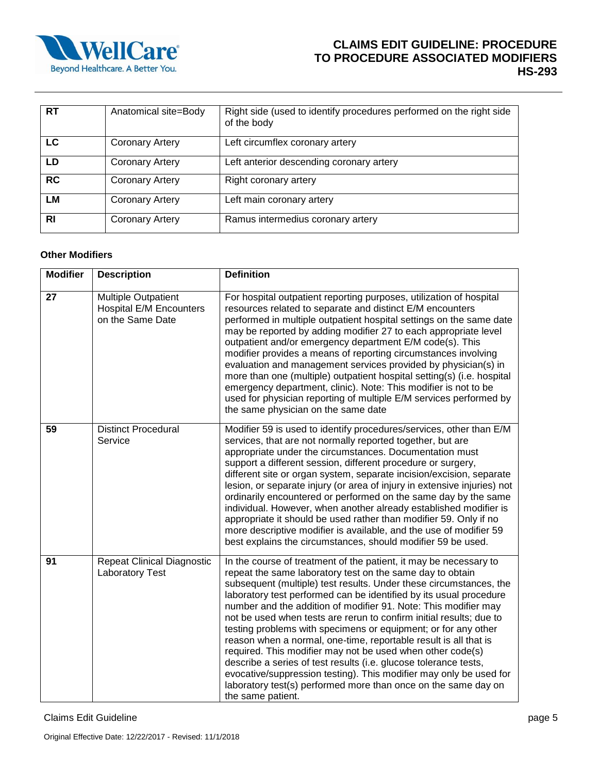

# **CLAIMS EDIT GUIDELINE: PROCEDURE TO PROCEDURE ASSOCIATED MODIFIERS HS-293**

| <b>RT</b> | Anatomical site=Body   | Right side (used to identify procedures performed on the right side<br>of the body |
|-----------|------------------------|------------------------------------------------------------------------------------|
| LC        | <b>Coronary Artery</b> | Left circumflex coronary artery                                                    |
| LD        | <b>Coronary Artery</b> | Left anterior descending coronary artery                                           |
| <b>RC</b> | <b>Coronary Artery</b> | Right coronary artery                                                              |
| LΜ        | <b>Coronary Artery</b> | Left main coronary artery                                                          |
| <b>RI</b> | <b>Coronary Artery</b> | Ramus intermedius coronary artery                                                  |

## **Other Modifiers**

| <b>Modifier</b> | <b>Description</b>                                                               | <b>Definition</b>                                                                                                                                                                                                                                                                                                                                                                                                                                                                                                                                                                                                                                                                                                                                                                                                                                         |
|-----------------|----------------------------------------------------------------------------------|-----------------------------------------------------------------------------------------------------------------------------------------------------------------------------------------------------------------------------------------------------------------------------------------------------------------------------------------------------------------------------------------------------------------------------------------------------------------------------------------------------------------------------------------------------------------------------------------------------------------------------------------------------------------------------------------------------------------------------------------------------------------------------------------------------------------------------------------------------------|
| 27              | <b>Multiple Outpatient</b><br><b>Hospital E/M Encounters</b><br>on the Same Date | For hospital outpatient reporting purposes, utilization of hospital<br>resources related to separate and distinct E/M encounters<br>performed in multiple outpatient hospital settings on the same date<br>may be reported by adding modifier 27 to each appropriate level<br>outpatient and/or emergency department E/M code(s). This<br>modifier provides a means of reporting circumstances involving<br>evaluation and management services provided by physician(s) in<br>more than one (multiple) outpatient hospital setting(s) (i.e. hospital<br>emergency department, clinic). Note: This modifier is not to be<br>used for physician reporting of multiple E/M services performed by<br>the same physician on the same date                                                                                                                      |
| 59              | <b>Distinct Procedural</b><br>Service                                            | Modifier 59 is used to identify procedures/services, other than E/M<br>services, that are not normally reported together, but are<br>appropriate under the circumstances. Documentation must<br>support a different session, different procedure or surgery,<br>different site or organ system, separate incision/excision, separate<br>lesion, or separate injury (or area of injury in extensive injuries) not<br>ordinarily encountered or performed on the same day by the same<br>individual. However, when another already established modifier is<br>appropriate it should be used rather than modifier 59. Only if no<br>more descriptive modifier is available, and the use of modifier 59<br>best explains the circumstances, should modifier 59 be used.                                                                                       |
| 91              | <b>Repeat Clinical Diagnostic</b><br>Laboratory Test                             | In the course of treatment of the patient, it may be necessary to<br>repeat the same laboratory test on the same day to obtain<br>subsequent (multiple) test results. Under these circumstances, the<br>laboratory test performed can be identified by its usual procedure<br>number and the addition of modifier 91. Note: This modifier may<br>not be used when tests are rerun to confirm initial results; due to<br>testing problems with specimens or equipment; or for any other<br>reason when a normal, one-time, reportable result is all that is<br>required. This modifier may not be used when other code(s)<br>describe a series of test results (i.e. glucose tolerance tests,<br>evocative/suppression testing). This modifier may only be used for<br>laboratory test(s) performed more than once on the same day on<br>the same patient. |